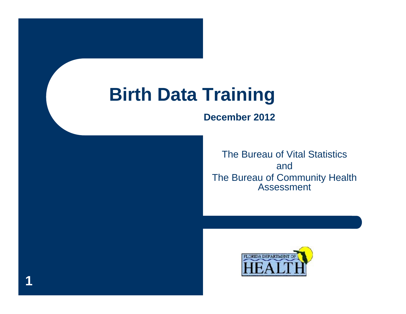#### **Birth Data Training**

**1**

#### **December 2012**

The Bureau of Vital Statistics andThe Bureau of Community Health Assessment

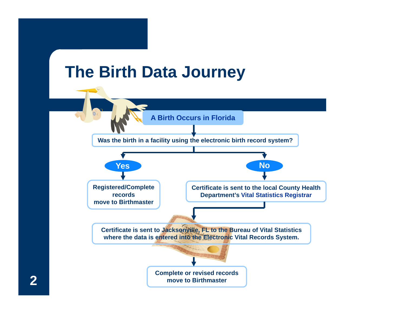

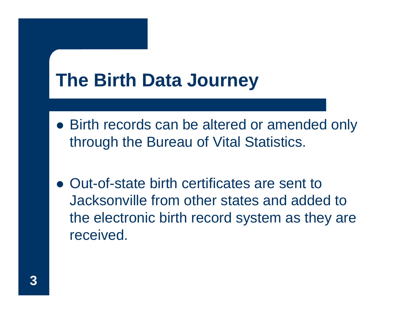#### **The Birth Data Journey**

- Birth records can be altered or amended only through the Bureau of Vital Statistics.
- Out-of-state birth certificates are sent to Jacksonville from other states and added to the electronic birth record system as they are received.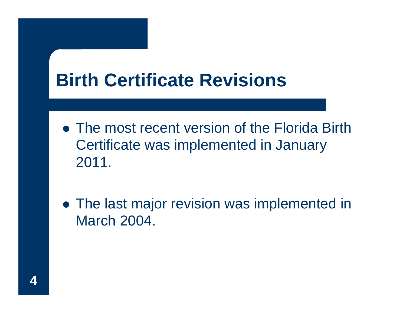## **Birth Certificate Revisions**

- The most recent version of the Florida Birth Certificate was implemented in January 2011.
- The last major revision was implemented in March 2004.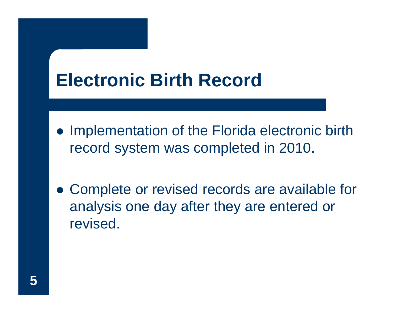#### **Electronic Birth Record**

- Implementation of the Florida electronic birth record system was completed in 2010.
- Complete or revised records are available for analysis one day after they are entered or revised.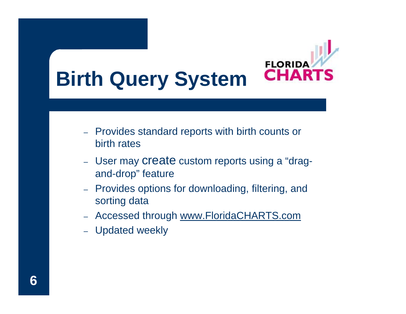

- Provides standard reports with birth counts or birth rates
- User may create custom reports using a "dragand-drop" feature
- Provides options for downloading, filtering, and sorting data
- Accessed through <u>www.FloridaCHARTS.com</u>
- Updated weekly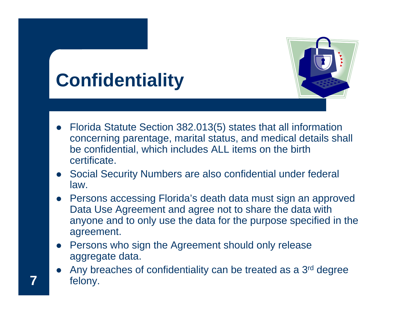# **Confidentiality**



- Florida Statute Section 382.013(5) states that all information concerning parentage, marital status, and medical details shall be confidential, which includes ALL items on the birth certificate.
- Social Security Numbers are also confidential under federal law.
- Persons accessing Florida's death data must sign an approved Data Use Agreement and agree not to share the data with anyone and to only use the data for the purpose specified in the agreement.
- Persons who sign the Agreement should only release aggregate data.
- $\bullet$ Any breaches of confidentiality can be treated as a 3<sup>rd</sup> degree felony.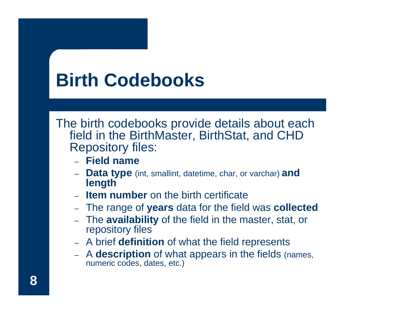# **Birth Codebooks**

The birth codebooks provide details about each field in the BirthMaster, BirthStat, and CHD Repository files:

- **Field name**
- – **Data type** (int, smallint, datetime, char, or varchar) **and length**
- **Item number** on the birth certificate
- The range of **years** data for the field was **collected**
- The **availability** of the field in the master, stat, or repository files
- A brief **definition** of what the field represents
- – A **description** of what appears in the fields (names, numeric codes, dates, etc.)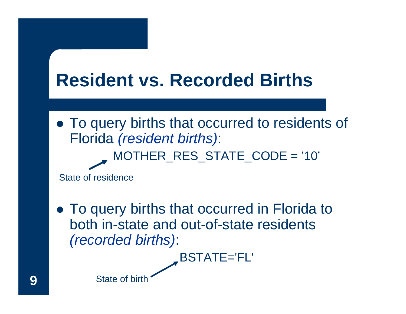## **Resident vs. Recorded Births**

• To query births that occurred to residents of Florida *(resident births)*: MOTHER\_RES\_STATE\_CODE = '10'

State of residence

• To query births that occurred in Florida to both in-state and out-of-state residents*(recorded births)*:

BSTATE='FL'

State of birth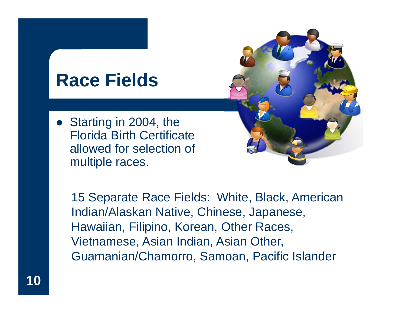#### **Race Fields**

• Starting in 2004, the Florida Birth Certificate allowed for selection of multiple races.



15 Separate Race Fields: White, Black, American Indian/Alaskan Native, Chinese, Japanese, Hawaiian, Filipino, Korean, Other Races, Vietnamese, Asian Indian, Asian Other, Guamanian/Chamorro, Samoan, Pacific Islander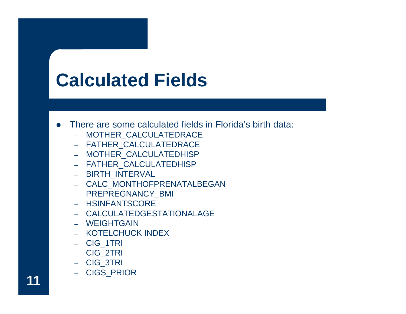# **Calculated Fields**

- $\bullet$  There are some calculated fields in Florida's birth data:
	- $\rightarrow$ MOTHER\_CALCULATEDRACE
	- FATHER\_CALCULATEDRACE
	- MOTHER\_CALCULATEDHISP
	- FATHER\_CALCULATEDHISP
	- BIRTH\_INTERVAL
	- CALC\_MONTHOFPRENATALBEGAN
	- PREPREGNANCY\_BMI
	- HSINFANTSCORE
	- CALCULATEDGESTATIONALAGE
	- WEIGHTGAIN
	- KOTELCHUCK INDEX
	- CIG\_1TRI
	- CIG\_2TRI
	- CIG\_3TRI
	- CIGS\_PRIOR

**11**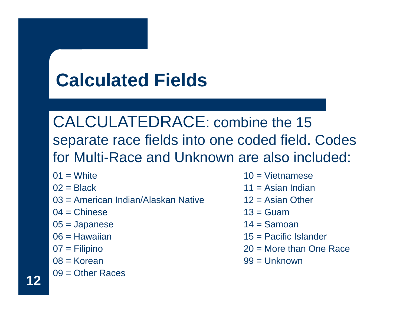# **Calculated Fields**

CALCULATEDRACE: combine the 15 separate race fields into one coded field. Codes for Multi-Race and Unknown are also included:

- $01 =$  White
- $02$  = Black
- 03 = American Indian/Alaskan Native
- $04$  = Chinese
- 05 = Japanese
- 06 = Hawaiian
- 07 = Filipino
- 08 = Korean
- 09 = Other Races
- $10 = \text{Vietnamese}$
- $11 =$  Asian Indian
- 12 = Asian Other
- $13$  = Guam
- $14 =$ Samoan
- 15 = Pacific Islander
- 20 = More than One Race
- 99 = Unknown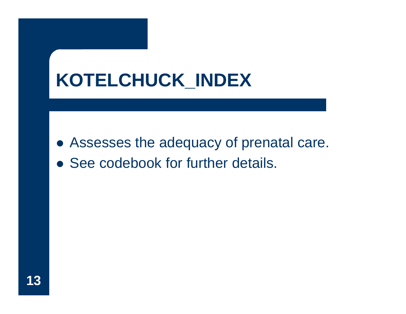# **KOTELCHUCK\_INDEX**

- Assesses the adequacy of prenatal care.
- See codebook for further details.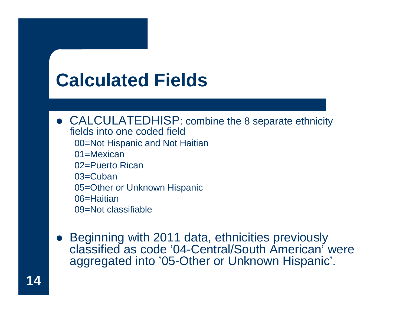# **Calculated Fields**

• CALCULATEDHISP: combine the 8 separate ethnicity fields into one coded field00=Not Hispanic and Not Haitian 01=Mexican 02=Puerto Rican 03=Cuban 05=Other or Unknown Hispanic 06=Haitian 09=Not classifiable

 $\bullet$  Beginning with 2011 data, ethnicities previously classified as code '04-Central/South American' were aggregated into '05-Other or Unknown Hispanic'.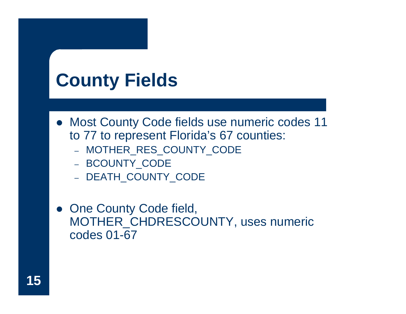## **County Fields**

- Most County Code fields use numeric codes 11 to 77 to represent Florida's 67 counties:
	- MOTHER\_RES\_COUNTY\_CODE
	- BCOUNTY\_CODE
	- DEATH\_COUNTY\_CODE
- One County Code field, MOTHER\_CHDRESCOUNTY, uses numeric codes 01-67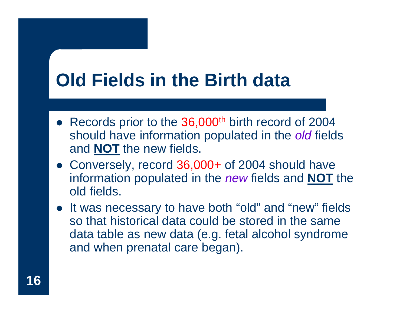# **Old Fields in the Birth data**

- Records prior to the 36,000<sup>th</sup> birth record of 2004 should have information populated in the *old* fields and **NOT** the new fields.
- Conversely, record 36,000+ of 2004 should have information populated in the *new* fields and **NOT** the old fields.
- It was necessary to have both "old" and "new" fields so that historical data could be stored in the same data table as new data (e.g. fetal alcohol syndrome and when prenatal care began).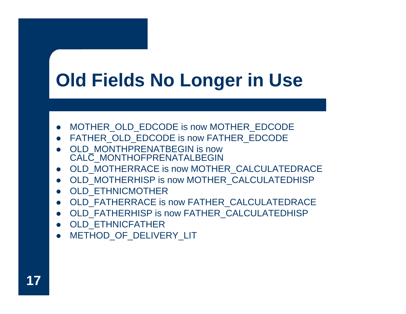# **Old Fields No Longer in Use**

- MOTHER\_OLD\_EDCODE is now MOTHER\_EDCODE
- z FATHER\_OLD\_EDCODE is now FATHER\_EDCODE
- OLD\_MONTHPRENATBEGIN is now CALC\_MONTHOFPRENATALBEGIN
- z OLD\_MOTHERRACE is now MOTHER\_CALCULATEDRACE
- z OLD\_MOTHERHISP is now MOTHER\_CALCULATEDHISP
- OLD\_ETHNICMOTHER
- z OLD\_FATHERRACE is now FATHER\_CALCULATEDRACE
- z OLD\_FATHERHISP is now FATHER\_CALCULATEDHISP
- OLD\_ETHNICFATHER
- $\bullet$ METHOD OF DELIVERY LIT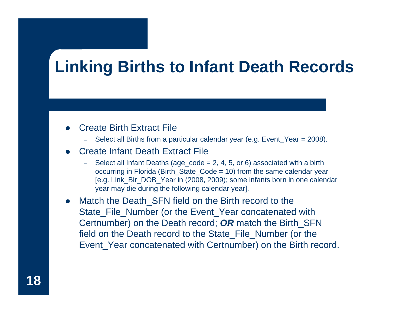#### **Linking Births to Infant Death Records**

#### $\bullet$ Create Birth Extract File

Select all Births from a particular calendar year (e.g. Event\_Year = 2008).

#### $\bullet$ Create Infant Death Extract File

- –Select all Infant Deaths (age\_code =  $2, 4, 5$ , or 6) associated with a birth occurring in Florida (Birth\_State\_Code = 10) from the same calendar year [e.g. Link\_Bir\_DOB\_Year in (2008, 2009); some infants born in one calendar year may die during the following calendar year].
- $\bullet$ Match the Death SFN field on the Birth record to the State\_File\_Number (or the Event\_Year concatenated with Certnumber) on the Death record; *OR* match the Birth\_SFN field on the Death record to the State\_File\_Number (or the Event Year concatenated with Certnumber) on the Birth record.